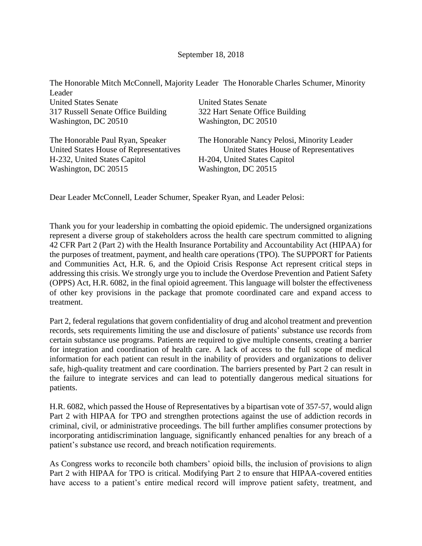| Leader                                 | The Honorable Mitch McConnell, Majority Leader The Honorable Charles Schumer, Minority |
|----------------------------------------|----------------------------------------------------------------------------------------|
| <b>United States Senate</b>            | <b>United States Senate</b>                                                            |
| 317 Russell Senate Office Building     | 322 Hart Senate Office Building                                                        |
| Washington, DC 20510                   | Washington, DC 20510                                                                   |
| The Honorable Paul Ryan, Speaker       | The Honorable Nancy Pelosi, Minority Leader                                            |
| United States House of Representatives | United States House of Representatives                                                 |
| H-232, United States Capitol           | H-204, United States Capitol                                                           |
| Washington, DC 20515                   | Washington, DC 20515                                                                   |

Dear Leader McConnell, Leader Schumer, Speaker Ryan, and Leader Pelosi:

Thank you for your leadership in combatting the opioid epidemic. The undersigned organizations represent a diverse group of stakeholders across the health care spectrum committed to aligning 42 CFR Part 2 (Part 2) with the Health Insurance Portability and Accountability Act (HIPAA) for the purposes of treatment, payment, and health care operations (TPO). The SUPPORT for Patients and Communities Act, H.R. 6, and the Opioid Crisis Response Act represent critical steps in addressing this crisis. We strongly urge you to include the Overdose Prevention and Patient Safety (OPPS) Act, H.R. 6082, in the final opioid agreement. This language will bolster the effectiveness of other key provisions in the package that promote coordinated care and expand access to treatment.

Part 2, federal regulations that govern confidentiality of drug and alcohol treatment and prevention records, sets requirements limiting the use and disclosure of patients' substance use records from certain substance use programs. Patients are required to give multiple consents, creating a barrier for integration and coordination of health care. A lack of access to the full scope of medical information for each patient can result in the inability of providers and organizations to deliver safe, high-quality treatment and care coordination. The barriers presented by Part 2 can result in the failure to integrate services and can lead to potentially dangerous medical situations for patients.

H.R. 6082, which passed the House of Representatives by a bipartisan vote of 357-57, would align Part 2 with HIPAA for TPO and strengthen protections against the use of addiction records in criminal, civil, or administrative proceedings. The bill further amplifies consumer protections by incorporating antidiscrimination language, significantly enhanced penalties for any breach of a patient's substance use record, and breach notification requirements.

As Congress works to reconcile both chambers' opioid bills, the inclusion of provisions to align Part 2 with HIPAA for TPO is critical. Modifying Part 2 to ensure that HIPAA-covered entities have access to a patient's entire medical record will improve patient safety, treatment, and